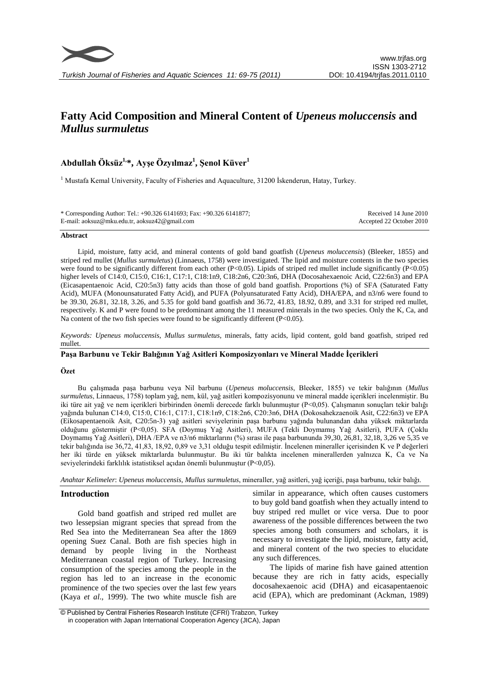# **Fatty Acid Composition and Mineral Content of** *Upeneus moluccensis* **and**  *Mullus surmuletus*

# **Abdullah Öksüz1,\*, Ayşe Özyılmaz<sup>1</sup> , Şenol Küver<sup>1</sup>**

<sup>1</sup> Mustafa Kemal University, Faculty of Fisheries and Aquaculture, 31200 Iskenderun, Hatay, Turkey.

| * Corresponding Author: Tel.: +90.326 6141693; Fax: +90.326 6141877; | Received 14 June 2010    |
|----------------------------------------------------------------------|--------------------------|
| E-mail: aoksuz@mku.edu.tr, aoksuz42@gmail.com                        | Accepted 22 October 2010 |

#### **Abstract**

Lipid, moisture, fatty acid, and mineral contents of gold band goatfish (*Upeneus moluccensis*) (Bleeker, 1855) and striped red mullet (*Mullus surmuletus*) (Linnaeus, 1758) were investigated. The lipid and moisture contents in the two species were found to be significantly different from each other (P<0.05). Lipids of striped red mullet include significantly (P<0.05) higher levels of C14:0, C15:0, C16:1, C17:1, C18:1n9, C18:2n6, C20:3n6, DHA (Docosahexaenoic Acid, C22:6n3) and EPA (Eicasapentaenoic Acid, C20:5n3) fatty acids than those of gold band goatfish. Proportions (%) of SFA (Saturated Fatty Acid), MUFA (Monounsaturated Fatty Acid), and PUFA (Polyunsaturated Fatty Acid), DHA/EPA, and n3/n6 were found to be 39.30, 26.81, 32.18, 3.26, and 5.35 for gold band goatfish and 36.72, 41.83, 18.92, 0.89, and 3.31 for striped red mullet, respectively. K and P were found to be predominant among the 11 measured minerals in the two species. Only the K, Ca, and Na content of the two fish species were found to be significantly different (P<0.05).

*Keywords: Upeneus moluccensis*, *Mullus surmuletus*, minerals, fatty acids, lipid content, gold band goatfish, striped red mullet.

# **Paşa Barbunu ve Tekir Balığının Yağ Asitleri Komposizyonları ve Mineral Madde İçerikleri**

#### **Özet**

*Keywords*: yağında bulunan C14:0, C15:0, C16:1, C17:1, C18:1n9, C18:2n6, C20:3n6, DHA (Dokosahekzaenoik Asit, C22:6n3) ve EPA Bu çalışmada paşa barbunu veya Nil barbunu (*Upeneus moluccensis*, Bleeker, 1855) ve tekir balığının (*Mullus surmuletus*, Linnaeus, 1758) toplam yağ, nem, kül, yağ asitleri kompozisyonunu ve mineral madde içerikleri incelenmiştir. Bu iki türe ait yağ ve nem içerikleri birbirinden önemli derecede farklı bulunmuştur (P<0,05). Çalışmanın sonuçları tekir balığı (Eikosapentaenoik Asit, C20:5n-3) yağ asitleri seviyelerinin paşa barbunu yağında bulunandan daha yüksek miktarlarda olduğunu göstermiştir (P<0,05). SFA (Doymuş Yağ Asitleri), MUFA (Tekli Doymamış Yağ Asitleri), PUFA (Çoklu Doymamış Yağ Asitleri), DHA /EPA ve n3/n6 miktarlarını (%) sırası ile paşa barbununda 39,30, 26,81, 32,18, 3,26 ve 5,35 ve tekir balığında ise 36,72, 41,83, 18,92, 0,89 ve 3,31 olduğu tespit edilmiştir. İncelenen mineraller içerisinden K ve P değerleri her iki türde en yüksek miktarlarda bulunmuştur. Bu iki tür balıkta incelenen minerallerden yalnızca K, Ca ve Na seviyelerindeki farklılık istatistiksel açıdan önemli bulunmuştur (P<0,05).

*Anahtar Kelimeler*: *Upeneus moluccensis*, *Mullus surmuletus*, mineraller, yağ asitleri, yağ içeriği, paşa barbunu, tekir balığı.

# **Introduction**

Gold band goatfish and striped red mullet are two lessepsian migrant species that spread from the Red Sea into the Mediterranean Sea after the 1869 opening Suez Canal. Both are fish species high in demand by people living in the Northeast Mediterranean coastal region of Turkey. Increasing consumption of the species among the people in the region has led to an increase in the economic prominence of the two species over the last few years (Kaya *et al*., 1999). The two white muscle fish are

similar in appearance, which often causes customers to buy gold band goatfish when they actually intend to buy striped red mullet or vice versa. Due to poor awareness of the possible differences between the two species among both consumers and scholars, it is necessary to investigate the lipid, moisture, fatty acid, and mineral content of the two species to elucidate any such differences.

The lipids of marine fish have gained attention because they are rich in fatty acids, especially docosahexaenoic acid (DHA) and eicasapentaenoic acid (EPA), which are predominant (Ackman, 1989)

<sup>©</sup> Published by Central Fisheries Research Institute (CFRI) Trabzon, Turkey in cooperation with Japan International Cooperation Agency (JICA), Japan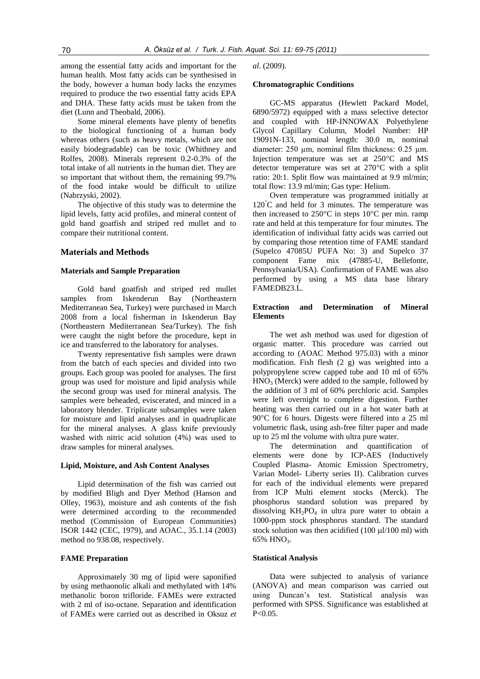among the essential fatty acids and important for the human health. Most fatty acids can be synthesised in the body, however a human body lacks the enzymes required to produce the two essential fatty acids EPA and DHA. These fatty acids must be taken from the diet (Lunn and Theobald, 2006).

Some mineral elements have plenty of benefits to the biological functioning of a human body whereas others (such as heavy metals, which are not easily biodegradable) can be toxic (Whithney and Rolfes, 2008). Minerals represent 0.2-0.3% of the total intake of all nutrients in the human diet. They are so important that without them, the remaining 99.7% of the food intake would be difficult to utilize (Nabrzyski, 2002).

The objective of this study was to determine the lipid levels, fatty acid profiles, and mineral content of gold band goatfish and striped red mullet and to compare their nutritional content.

# **Materials and Methods**

### **Materials and Sample Preparation**

Gold band goatfish and striped red mullet samples from Iskenderun Bay (Northeastern Mediterranean Sea, Turkey) were purchased in March 2008 from a local fisherman in Iskenderun Bay (Northeastern Mediterranean Sea/Turkey). The fish were caught the night before the procedure, kept in ice and transferred to the laboratory for analyses.

Twenty representative fish samples were drawn from the batch of each species and divided into two groups. Each group was pooled for analyses. The first group was used for moisture and lipid analysis while the second group was used for mineral analysis. The samples were beheaded, eviscerated, and minced in a laboratory blender. Triplicate subsamples were taken for moisture and lipid analyses and in quadruplicate for the mineral analyses. A glass knife previously washed with nitric acid solution (4%) was used to draw samples for mineral analyses.

#### **Lipid, Moisture, and Ash Content Analyses**

Lipid determination of the fish was carried out by modified Bligh and Dyer Method (Hanson and Olley, 1963), moisture and ash contents of the fish were determined according to the recommended method (Commission of European Communities) ISOR 1442 (CEC, 1979), and AOAC., 35.1.14 (2003) method no 938.08, respectively.

#### **FAME Preparation**

Approximately 30 mg of lipid were saponified by using methaonolic alkali and methylated with 14% methanolic boron trifloride. FAMEs were extracted with 2 ml of iso-octane. Separation and identification of FAMEs were carried out as described in Oksuz *et*  *al*. (2009).

# **Chromatographic Conditions**

GC-MS apparatus (Hewlett Packard Model, 6890/5972) equipped with a mass selective detector and coupled with HP-INNOWAX Polyethylene Glycol Capillary Column, Model Number: HP 19091N-133, nominal length: 30.0 m, nominal diameter: 250 um, nominal film thickness: 0.25 um. Injection temperature was set at 250°C and MS detector temperature was set at 270°C with a split ratio: 20:1. Split flow was maintained at 9.9 ml/min; total flow: 13.9 ml/min; Gas type: Helium.

Oven temperature was programmed initially at  $120^{\circ}$ C and held for 3 minutes. The temperature was then increased to 250°C in steps 10°C per min. ramp rate and held at this temperature for four minutes. The identification of individual fatty acids was carried out by comparing those retention time of FAME standard (Supelco 47085U PUFA No: 3) and Supelco 37 component Fame mix (47885-U, Bellefonte, Pennsylvania/USA). Confirmation of FAME was also performed by using a MS data base library FAMEDB23.L.

# **Extraction and Determination of Mineral Elements**

The wet ash method was used for digestion of organic matter. This procedure was carried out according to (AOAC Method 975.03) with a minor modification. Fish flesh (2 g) was weighted into a polypropylene screw capped tube and 10 ml of 65%  $HNO<sub>3</sub>$  (Merck) were added to the sample, followed by the addition of 3 ml of 60% perchloric acid. Samples were left overnight to complete digestion. Further heating was then carried out in a hot water bath at 90°C for 6 hours. Digests were filtered into a 25 ml volumetric flask, using ash-free filter paper and made up to 25 ml the volume with ultra pure water.

The determination and quantification of elements were done by ICP-AES (Inductively Coupled Plasma- Atomic Emission Spectrometry, Varian Model- Liberty series II). Calibration curves for each of the individual elements were prepared from ICP Multi element stocks (Merck). The phosphorus standard solution was prepared by dissolving  $KH_2PO_4$  in ultra pure water to obtain a 1000-ppm stock phosphorus standard. The standard stock solution was then acidified  $(100 \text{ u}1/100 \text{ ml})$  with 65% HNO<sub>3</sub>.

#### **Statistical Analysis**

Data were subjected to analysis of variance (ANOVA) and mean comparison was carried out using Duncan's test. Statistical analysis was performed with SPSS. Significance was established at  $P < 0.05$ .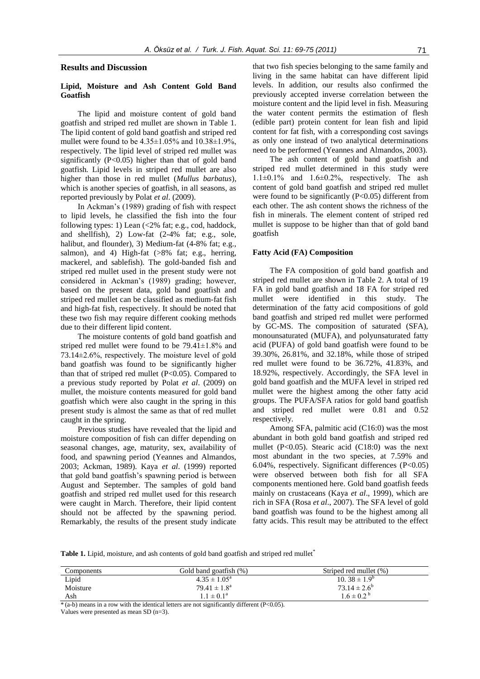#### **Results and Discussion**

# **Lipid, Moisture and Ash Content Gold Band Goatfish**

The lipid and moisture content of gold band goatfish and striped red mullet are shown in Table 1. The lipid content of gold band goatfish and striped red mullet were found to be  $4.35\pm1.05\%$  and  $10.38\pm1.9\%$ , respectively. The lipid level of striped red mullet was significantly  $(P<0.05)$  higher than that of gold band goatfish*.* Lipid levels in striped red mullet are also higher than those in red mullet (*Mullus barbatus*), which is another species of goatfish, in all seasons, as reported previously by Polat *et al*. (2009).

In Ackman's (1989) grading of fish with respect to lipid levels, he classified the fish into the four following types: 1) Lean (<2% fat; e.g., cod, haddock, and shellfish), 2) Low-fat (2-4% fat; e.g., sole, halibut, and flounder), 3) Medium-fat (4-8% fat; e.g., salmon), and 4) High-fat  $(>\!\!8\%$  fat; e.g., herring, mackerel, and sablefish). The gold-banded fish and striped red mullet used in the present study were not considered in Ackman's (1989) grading; however, based on the present data, gold band goatfish and striped red mullet can be classified as medium-fat fish and high-fat fish, respectively. It should be noted that these two fish may require different cooking methods due to their different lipid content.

The moisture contents of gold band goatfish and striped red mullet were found to be 79.41±1.8% and 73.14±2.6%, respectively. The moisture level of gold band goatfish was found to be significantly higher than that of striped red mullet  $(P<0.05)$ . Compared to a previous study reported by Polat *et al*. (2009) on mullet, the moisture contents measured for gold band goatfish which were also caught in the spring in this present study is almost the same as that of red mullet caught in the spring.

Previous studies have revealed that the lipid and moisture composition of fish can differ depending on seasonal changes, age, maturity, sex, availability of food, and spawning period (Yeannes and Almandos, 2003; Ackman, 1989). Kaya *et al*. (1999) reported that gold band goatfish's spawning period is between August and September. The samples of gold band goatfish and striped red mullet used for this research were caught in March. Therefore, their lipid content should not be affected by the spawning period. Remarkably, the results of the present study indicate

that two fish species belonging to the same family and living in the same habitat can have different lipid levels. In addition, our results also confirmed the previously accepted inverse correlation between the moisture content and the lipid level in fish. Measuring the water content permits the estimation of flesh (edible part) protein content for lean fish and lipid content for fat fish, with a corresponding cost savings as only one instead of two analytical determinations need to be performed (Yeannes and Almandos, 2003).

The ash content of gold band goatfish and striped red mullet determined in this study were  $1.1\pm0.1\%$  and  $1.6\pm0.2\%$ , respectively. The ash content of gold band goatfish and striped red mullet were found to be significantly  $(P<0.05)$  different from each other. The ash content shows the richness of the fish in minerals. The element content of striped red mullet is suppose to be higher than that of gold band goatfish

#### **Fatty Acid (FA) Composition**

The FA composition of gold band goatfish and striped red mullet are shown in Table 2. A total of 19 FA in gold band goatfish and 18 FA for striped red mullet were identified in this study. The determination of the fatty acid compositions of gold band goatfish and striped red mullet were performed by GC-MS. The composition of saturated (SFA), monounsaturated (MUFA), and polyunsaturated fatty acid (PUFA) of gold band goatfish were found to be 39.30%, 26.81%, and 32.18%, while those of striped red mullet were found to be 36.72%, 41.83%, and 18.92%, respectively. Accordingly, the SFA level in gold band goatfish and the MUFA level in striped red mullet were the highest among the other fatty acid groups. The PUFA/SFA ratios for gold band goatfish and striped red mullet were 0.81 and 0.52 respectively.

Among SFA, palmitic acid (C16:0) was the most abundant in both gold band goatfish and striped red mullet (P<0.05). Stearic acid (C18:0) was the next most abundant in the two species, at 7.59% and 6.04%, respectively. Significant differences (P<0.05) were observed between both fish for all SFA components mentioned here. Gold band goatfish feeds mainly on crustaceans (Kaya *et al*., 1999), which are rich in SFA (Rosa *et al*., 2007). The SFA level of gold band goatfish was found to be the highest among all fatty acids. This result may be attributed to the effect

Table 1. Lipid, moisture, and ash contents of gold band goatfish and striped red mullet<sup>\*</sup>

| Components | Gold band goatfish (%)     | Striped red mullet (%)  |
|------------|----------------------------|-------------------------|
| Lipid      | $4.35 \pm 1.05^{\text{a}}$ | $10.38 \pm 1.9^{\circ}$ |
| Moisture   | $79.41 \pm 1.8^{\text{a}}$ | $73.14 \pm 2.6^{\circ}$ |
| Ash        | $1.1 \pm 0.1^{\rm a}$      | $1.6 \pm 0.2^{\circ}$   |

 $*(a-b)$  means in a row with the identical letters are not significantly different (P<0.05).

Values were presented as mean SD (n=3).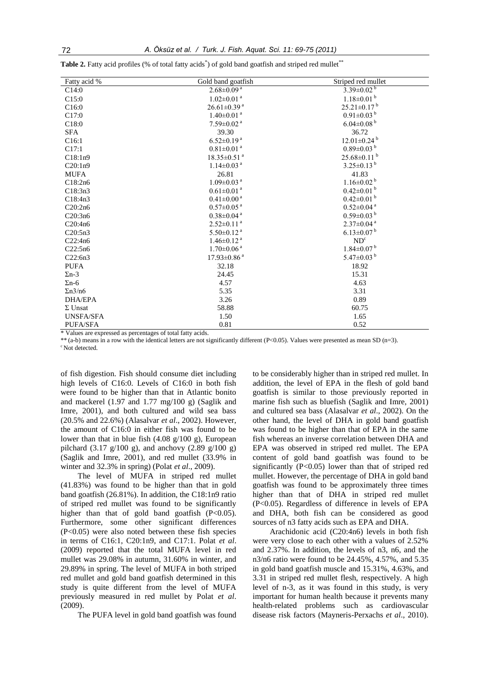Table 2. Fatty acid profiles (% of total fatty acids<sup>\*</sup>) of gold band goatfish and striped red mullet<sup>\*\*</sup>

| Fatty acid %     | Gold band goatfish                                             | Striped red mullet            |  |
|------------------|----------------------------------------------------------------|-------------------------------|--|
| C14:0            | $2.68 \pm 0.09^{\text{a}}$                                     | $3.39 \pm 0.02^{b}$           |  |
| C15:0            | $1.02 \pm 0.01$ <sup>a</sup>                                   | $1.18 \pm 0.01$ <sup>b</sup>  |  |
| C16:0            | $26.61 \pm 0.39$ <sup>a</sup>                                  | $25.21 \pm 0.17^{\text{b}}$   |  |
| C17:0            | $1.40 \pm 0.01$ <sup>a</sup>                                   | $0.91 \pm 0.03$ <sup>b</sup>  |  |
| C18:0            | $7.59 \pm 0.02$ <sup>a</sup>                                   | $6.04 \pm 0.08$ <sup>b</sup>  |  |
| <b>SFA</b>       | 39.30                                                          | 36.72                         |  |
| C16:1            | $6.52 \pm 0.19$ <sup>a</sup>                                   | $12.01 \pm 0.24$ <sup>b</sup> |  |
| C17:1            | $0.81 \pm 0.01$ <sup>a</sup>                                   | $0.89 \pm 0.03^{b}$           |  |
| C18:1n9          | $25.68 \pm 0.11$ <sup>b</sup><br>$18.35 \pm 0.51$ <sup>a</sup> |                               |  |
| C20:1n9          | $1.14 \pm 0.03$ <sup>a</sup>                                   | $3.25\pm0.13^{b}$             |  |
| MUFA             | 26.81                                                          | 41.83                         |  |
| C18:2n6          | $1.09 \pm 0.03$ <sup>a</sup>                                   | $1.16 \pm 0.02^{\mathrm{b}}$  |  |
| C18:3n3          | $0.61 \pm 0.01$ <sup>a</sup>                                   | $0.42\pm0.01^{\mathrm{b}}$    |  |
| C18:4n3          | $0.41 \pm 0.00$ <sup>a</sup>                                   | $0.42 \pm 0.01$ <sup>b</sup>  |  |
| C20:2n6          | $0.57 \pm 0.05$ <sup>a</sup>                                   | $0.52 \pm 0.04$ <sup>a</sup>  |  |
| C20:3n6          | $0.38 \pm 0.04$ <sup>a</sup>                                   | $0.59 \pm 0.03^{b}$           |  |
| C20:4n6          | $2.52\pm0.11^{a}$                                              | $2.37\pm0.04^{a}$             |  |
| C20:5n3          | $5.50 \pm 0.12$ <sup>a</sup>                                   | $6.13 \pm 0.07^{b}$           |  |
| C22:4n6          | ND <sup>c</sup><br>$1.46 \pm 0.12$ <sup>a</sup>                |                               |  |
| C22:5n6          | $1.70 \pm 0.06$ <sup>a</sup>                                   | $1.84 \pm 0.07$ <sup>b</sup>  |  |
| C22:6n3          | $17.93 \pm 0.86$ <sup>a</sup>                                  | 5.47 $\pm$ 0.03 $^{\rm b}$    |  |
| <b>PUFA</b>      | 32.18                                                          | 18.92                         |  |
| $\Sigma$ n-3     | 24.45                                                          | 15.31                         |  |
| $\Sigma$ n-6     | 4.57                                                           | 4.63                          |  |
| $\Sigma n^3/n6$  | 5.35                                                           | 3.31                          |  |
| <b>DHA/EPA</b>   | 3.26                                                           | 0.89                          |  |
| $\Sigma$ Unsat   | 58.88                                                          | 60.75                         |  |
| <b>UNSFA/SFA</b> | 1.50<br>1.65                                                   |                               |  |
| <b>PUFA/SFA</b>  | 0.81                                                           | 0.52                          |  |

\* Values are expressed as percentages of total fatty acids.

\*\* (a-b) means in a row with the identical letters are not significantly different (P<0.05). Values were presented as mean SD (n=3). <sup>c</sup> Not detected.

of fish digestion. Fish should consume diet including high levels of C16:0. Levels of C16:0 in both fish were found to be higher than that in Atlantic bonito and mackerel (1.97 and 1.77 mg/100 g) (Saglik and Imre, 2001), and both cultured and wild sea bass (20.5% and 22.6%) (Alasalvar *et al*., 2002). However, the amount of C16:0 in either fish was found to be lower than that in blue fish  $(4.08 \text{ g}/100 \text{ g})$ , European pilchard  $(3.17 \text{ g}/100 \text{ g})$ , and anchovy  $(2.89 \text{ g}/100 \text{ g})$ (Saglik and Imre, 2001), and red mullet (33.9% in winter and 32.3% in spring) (Polat *et al*., 2009).

The level of MUFA in striped red mullet (41.83%) was found to be higher than that in gold band goatfish (26.81%). In addition, the C18:1n9 ratio of striped red mullet was found to be significantly higher than that of gold band goatfish (P<0.05). Furthermore, some other significant differences (P<0.05) were also noted between these fish species in terms of C16:1, C20:1n9, and C17:1. Polat *et al*. (2009) reported that the total MUFA level in red mullet was 29.08% in autumn, 31.60% in winter, and 29.89% in spring. The level of MUFA in both striped red mullet and gold band goatfish determined in this study is quite different from the level of MUFA previously measured in red mullet by Polat *et al*. (2009).

The PUFA level in gold band goatfish was found

to be considerably higher than in striped red mullet. In addition, the level of EPA in the flesh of gold band goatfish is similar to those previously reported in marine fish such as bluefish (Saglik and Imre, 2001) and cultured sea bass (Alasalvar *et al*., 2002). On the other hand, the level of DHA in gold band goatfish was found to be higher than that of EPA in the same fish whereas an inverse correlation between DHA and EPA was observed in striped red mullet. The EPA content of gold band goatfish was found to be significantly  $(P<0.05)$  lower than that of striped red mullet. However, the percentage of DHA in gold band goatfish was found to be approximately three times higher than that of DHA in striped red mullet (P<0.05). Regardless of difference in levels of EPA and DHA, both fish can be considered as good sources of n3 fatty acids such as EPA and DHA.

Arachidonic acid (C20:4n6) levels in both fish were very close to each other with a values of 2.52% and 2.37%. In addition, the levels of n3, n6, and the n3/n6 ratio were found to be 24.45%, 4.57%, and 5.35 in gold band goatfish muscle and 15.31%, 4.63%, and 3.31 in striped red mullet flesh, respectively. A high level of n-3, as it was found in this study, is very important for human health because it prevents many health-related problems such as cardiovascular disease risk factors (Mayneris-Perxachs *et al*., 2010).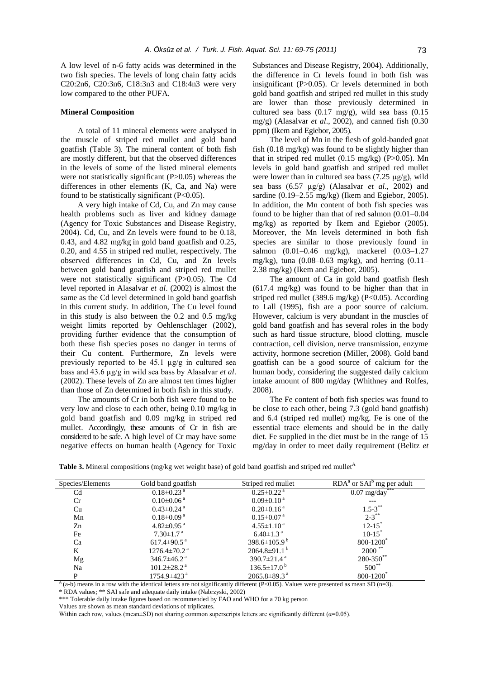A low level of n-6 fatty acids was determined in the two fish species. The levels of long chain fatty acids C20:2n6, C20:3n6, C18:3n3 and C18:4n3 were very low compared to the other PUFA.

#### **Mineral Composition**

A total of 11 mineral elements were analysed in the muscle of striped red mullet and gold band goatfish (Table 3)*.* The mineral content of both fish are mostly different, but that the observed differences in the levels of some of the listed mineral elements were not statistically significant (P>0.05) whereas the differences in other elements (K, Ca, and Na) were found to be statistically significant  $(P<0.05)$ .

A very high intake of Cd, Cu, and Zn may cause health problems such as liver and kidney damage (Agency for Toxic Substances and Disease Registry, 2004). Cd, Cu, and Zn levels were found to be 0.18, 0.43, and 4.82 mg/kg in gold band goatfish and 0.25, 0.20, and 4.55 in striped red mullet, respectively. The observed differences in Cd, Cu, and Zn levels between gold band goatfish and striped red mullet were not statistically significant (P>0.05). The Cd level reported in Alasalvar *et al*. (2002) is almost the same as the Cd level determined in gold band goatfish in this current study. In addition, The Cu level found in this study is also between the 0.2 and 0.5 mg/kg weight limits reported by Oehlenschlager (2002), providing further evidence that the consumption of both these fish species poses no danger in terms of their Cu content. Furthermore, Zn levels were previously reported to be 45.1 µg/g in cultured sea bass and 43.6 µg/g in wild sea bass by Alasalvar *et al*. (2002). These levels of Zn are almost ten times higher than those of Zn determined in both fish in this study.

The amounts of Cr in both fish were found to be very low and close to each other, being 0.10 mg/kg in gold band goatfish and 0.09 mg/kg in striped red mullet. Accordingly, these amounts of Cr in fish are considered to be safe. A high level of Cr may have some negative effects on human health (Agency for Toxic

Substances and Disease Registry, 2004). Additionally, the difference in Cr levels found in both fish was insignificant (P>0.05). Cr levels determined in both gold band goatfish and striped red mullet in this study are lower than those previously determined in cultured sea bass (0.17 mg/g), wild sea bass (0.15 mg/g) (Alasalvar *et al*., 2002), and canned fish (0.30 ppm) (Ikem and Egiebor, 2005).

The level of Mn in the flesh of gold-banded goat fish (0.18 mg/kg) was found to be slightly higher than that in striped red mullet  $(0.15 \text{ mg/kg})$  (P $>0.05$ ). Mn levels in gold band goatfish and striped red mullet were lower than in cultured sea bass  $(7.25 \mu g/g)$ , wild sea bass (6.57 µg/g) (Alasalvar *et al*., 2002) and sardine (0.19–2.55 mg/kg) (Ikem and Egiebor, 2005). In addition, the Mn content of both fish species was found to be higher than that of red salmon (0.01–0.04 mg/kg) as reported by Ikem and Egiebor (2005). Moreover, the Mn levels determined in both fish species are similar to those previously found in salmon (0.01–0.46 mg/kg), mackerel (0.03–1.27 mg/kg), tuna  $(0.08-0.63 \text{ mg/kg})$ , and herring  $(0.11-$ 2.38 mg/kg) (Ikem and Egiebor, 2005).

The amount of Ca in gold band goatfish flesh (617.4 mg/kg) was found to be higher than that in striped red mullet (389.6 mg/kg) ( $P<0.05$ ). According to Lall (1995), fish are a poor source of calcium. However, calcium is very abundant in the muscles of gold band goatfish and has several roles in the body such as hard tissue structure, blood clotting, muscle contraction, cell division, nerve transmission, enzyme activity, hormone secretion (Miller, 2008). Gold band goatfish can be a good source of calcium for the human body, considering the suggested daily calcium intake amount of 800 mg/day (Whithney and Rolfes, 2008).

The Fe content of both fish species was found to be close to each other, being 7.3 (gold band goatfish) and 6.4 (striped red mullet) mg/kg. Fe is one of the essential trace elements and should be in the daily diet. Fe supplied in the diet must be in the range of 15 mg/day in order to meet daily requirement (Belitz *et* 

**Table 3.** Mineral compositions (mg/kg wet weight base) of gold band goatfish and striped red mullet<sup>A</sup>

| Species/Elements | Gold band goatfish             | Striped red mullet             | $\overline{\text{RDA}}^a$ or $\text{SAI}^b$ mg per adult |
|------------------|--------------------------------|--------------------------------|----------------------------------------------------------|
| C <sub>d</sub>   | $0.18 \pm 0.23$ <sup>a</sup>   | $0.25 \pm 0.22$ <sup>a</sup>   | ***<br>$0.07$ mg/day                                     |
| Cr               | $0.10 \pm 0.06$ <sup>a</sup>   | $0.09 \pm 0.10^{\text{a}}$     | ---                                                      |
| Cu               | $0.43 \pm 0.24$ <sup>a</sup>   | $0.20 \pm 0.16$ <sup>a</sup>   | $1.5 - 3^{**}$                                           |
| Mn               | $0.18 \pm 0.09$ <sup>a</sup>   | $0.15 \pm 0.07$ <sup>a</sup>   | $2 - 3$ **                                               |
| Zn               | $4.82 \pm 0.95$ <sup>a</sup>   | $4.55 \pm 1.10^{\text{a}}$     | $12 - 15$                                                |
| Fe               | $7.30 \pm 1.7$ <sup>a</sup>    | $6.40 \pm 1.3$ <sup>a</sup>    | $10-15$                                                  |
| Ca               | $617.4 \pm 90.5$ <sup>a</sup>  | 398.6 $\pm$ 105.9 <sup>b</sup> | 800-1200                                                 |
| K                | $1276.4 \pm 70.2$ <sup>a</sup> | $2064.8\pm91.1^{b}$            | $2000$ **                                                |
| Mg               | $346.7\pm46.2$ <sup>a</sup>    | 390.7 $\pm$ 21.4 <sup>a</sup>  | $280 - 350^{**}$                                         |
| Na               | $101.2 \pm 28.2$ <sup>a</sup>  | $136.5 \pm 17.0^{\circ}$       | $500**$                                                  |
| P                | $1754.9 \pm 423$ <sup>a</sup>  | $2065.8 \pm 89.3$ <sup>a</sup> | 800-1200                                                 |

 $^{\text{A}}$  (a-b) means in a row with the identical letters are not significantly different (P<0.05). Values were presented as mean SD (n=3). \* RDA values; \*\* SAI safe and adequate daily intake (Nabrzyski, 2002)

\*\*\* Tolerable daily intake figures based on recommended by FAO and WHO for a 70 kg person

Values are shown as mean standard deviations of triplicates.

Within each row, values (mean±SD) not sharing common superscripts letters are significantly different  $(\alpha=0.05)$ .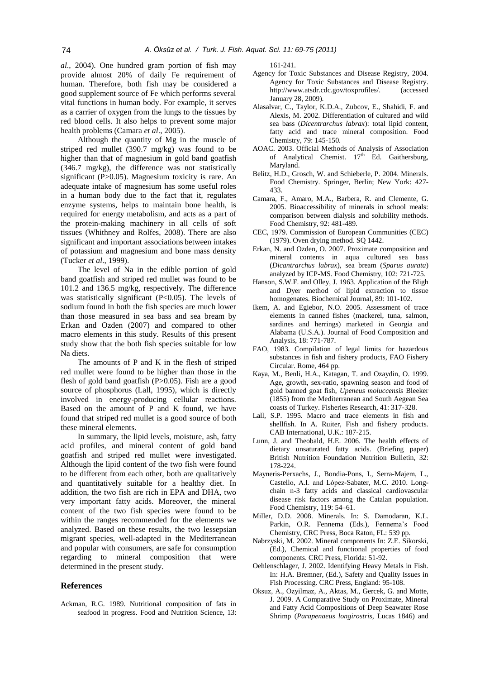*al*., 2004). One hundred gram portion of fish may provide almost 20% of daily Fe requirement of human. Therefore, both fish may be considered a good supplement source of Fe which performs several vital functions in human body. For example, it serves as a carrier of oxygen from the lungs to the tissues by red blood cells. It also helps to prevent some major health problems (Camara *et al*., 2005).

Although the quantity of Mg in the muscle of striped red mullet (390.7 mg/kg) was found to be higher than that of magnesium in gold band goatfish (346.7 mg/kg), the difference was not statistically significant (P>0.05). Magnesium toxicity is rare. An adequate intake of magnesium has some useful roles in a human body due to the fact that it, regulates enzyme systems, helps to maintain bone health, is required for energy metabolism, and acts as a part of the protein-making machinery in all cells of soft tissues (Whithney and Rolfes, 2008). There are also significant and important associations between intakes of potassium and magnesium and bone mass density (Tucker *et al*., 1999).

The level of Na in the edible portion of gold band goatfish and striped red mullet was found to be 101.2 and 136.5 mg/kg, respectively. The difference was statistically significant (P<0.05). The levels of sodium found in both the fish species are much lower than those measured in sea bass and sea bream by Erkan and Ozden (2007) and compared to other macro elements in this study. Results of this present study show that the both fish species suitable for low Na diets.

The amounts of P and K in the flesh of striped red mullet were found to be higher than those in the flesh of gold band goatfish  $(P>0.05)$ . Fish are a good source of phosphorus (Lall, 1995), which is directly involved in energy-producing cellular reactions. Based on the amount of P and K found, we have found that striped red mullet is a good source of both these mineral elements.

In summary, the lipid levels, moisture, ash, fatty acid profiles, and mineral content of gold band goatfish and striped red mullet were investigated. Although the lipid content of the two fish were found to be different from each other, both are qualitatively and quantitatively suitable for a healthy diet. In addition, the two fish are rich in EPA and DHA, two very important fatty acids. Moreover, the mineral content of the two fish species were found to be within the ranges recommended for the elements we analyzed. Based on these results, the two lessepsian migrant species, well-adapted in the Mediterranean and popular with consumers, are safe for consumption regarding to mineral composition that were determined in the present study.

# **References**

Ackman, R.G. 1989. Nutritional composition of fats in seafood in progress. Food and Nutrition Science, 13: 161-241.

- Agency for Toxic Substances and Disease Registry, 2004. Agency for Toxic Substances and Disease Registry. http://www.atsdr.cdc.gov/toxprofiles/. (accessed January 28, 2009).
- Alasalvar, C., Taylor, K.D.A., Zubcov, E., Shahidi, F. and Alexis, M. 2002. Differentiation of cultured and wild sea bass (*Dicentrarchus labrax*): total lipid content, fatty acid and trace mineral composition. Food Chemistry, 79: 145-150.
- AOAC. 2003. Official Methods of Analysis of Association of Analytical Chemist.  $17<sup>th</sup>$  Ed. Gaithersburg, Maryland.
- Belitz, H.D., Grosch, W. and Schieberle, P. 2004. Minerals. Food Chemistry. Springer, Berlin; New York: 427- 433.
- Camara, F., Amaro, M.A., Barbera, R. and Clemente, G. 2005. Bioaccessibility of minerals in school meals: comparison between dialysis and solubility methods. Food Chemistry, 92: 481-489.
- CEC, 1979. Commission of European Communities (CEC) (1979). Oven drying method. SQ 1442.
- Erkan, N. and Ozden, O. 2007. Proximate composition and mineral contents in aqua cultured sea bass (*Dicantrarchus labrax*), sea bream (*Sparus aurata*) analyzed by ICP-MS. Food Chemistry, 102: 721-725.
- Hanson, S.W.F. and Olley, J. 1963. Application of the Bligh and Dyer method of lipid extraction to tissue homogenates. Biochemical Journal, 89: 101-102.
- Ikem, A. and Egiebor, N.O. 2005. Assessment of trace elements in canned fishes (mackerel, tuna, salmon, sardines and herrings) marketed in Georgia and Alabama (U.S.A.). Journal of Food Composition and Analysis, 18: 771-787.
- FAO, 1983. Compilation of legal limits for hazardous substances in fish and fishery products, FAO Fishery Circular. Rome, 464 pp.
- Kaya, M., Benli, H.A., Katagan, T. and Ozaydin, O. 1999. Age, growth, sex-ratio, spawning season and food of gold banned goat fish, *Upeneus moluccensis* Bleeker (1855) from the Mediterranean and South Aegean Sea coasts of Turkey. Fisheries Research, 41: 317-328.
- Lall, S.P. 1995. Macro and trace elements in fish and shellfish. In A. Ruiter, Fish and fishery products. CAB International, U.K.: 187-215.
- Lunn, J. and Theobald, H.E. 2006. The health effects of dietary unsaturated fatty acids. (Briefing paper) British Nutrition Foundation Nutrition Bulletin, 32: 178-224.
- Mayneris-Perxachs, J., Bondia-Pons, I., Serra-Majem, L., Castello, A.I. and López-Sabater, M.C. 2010. Longchain n-3 fatty acids and classical cardiovascular disease risk factors among the Catalan population. Food Chemistry, 119: 54–61.
- Miller, D.D. 2008. Minerals. In: S. Damodaran, K.L. Parkin, O.R. Fennema (Eds.), Fennema's Food Chemistry, CRC Press, Boca Raton, FL: 539 pp.
- Nabrzyski, M. 2002. Mineral components In: Z.E. Sikorski, (Ed.), Chemical and functional properties of food components. CRC Press, Florida: 51-92.
- Oehlenschlager, J. 2002. Identifying Heavy Metals in Fish. In: H.A. Bremner, (Ed.), Safety and Quality Issues in Fish Processing. CRC Press, England: 95-108.
- Oksuz, A., Ozyilmaz, A., Aktas, M., Gercek, G. and Motte, J. 2009. A Comparative Study on Proximate, Mineral and Fatty Acid Compositions of Deep Seawater Rose Shrimp (*Parapenaeus longirostris*, Lucas 1846) and